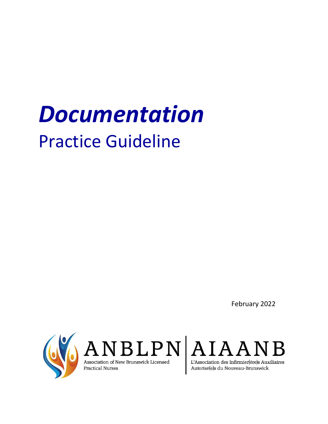# *Documentation* Practice Guideline

February 2022

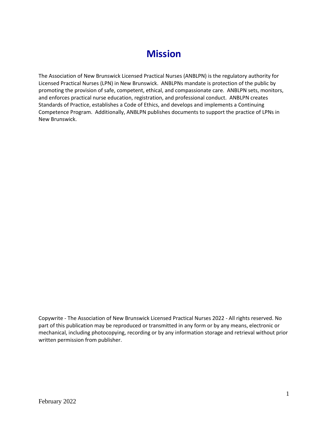## **Mission**

The Association of New Brunswick Licensed Practical Nurses (ANBLPN) is the regulatory authority for Licensed Practical Nurses (LPN) in New Brunswick. ANBLPNs mandate is protection of the public by promoting the provision of safe, competent, ethical, and compassionate care. ANBLPN sets, monitors, and enforces practical nurse education, registration, and professional conduct. ANBLPN creates Standards of Practice, establishes a Code of Ethics, and develops and implements a Continuing Competence Program. Additionally, ANBLPN publishes documents to support the practice of LPNs in New Brunswick.

Copywrite - The Association of New Brunswick Licensed Practical Nurses 2022 - All rights reserved. No part of this publication may be reproduced or transmitted in any form or by any means, electronic or mechanical, including photocopying, recording or by any information storage and retrieval without prior written permission from publisher.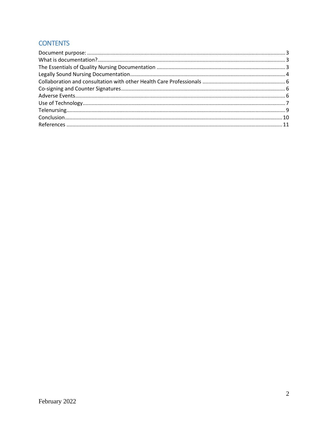### **CONTENTS**

<span id="page-2-0"></span>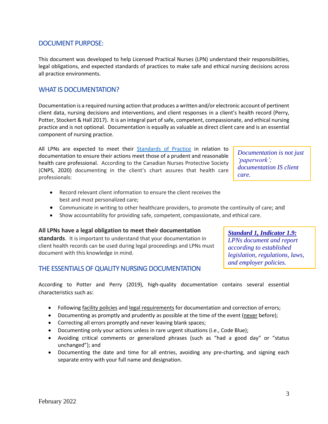#### DOCUMENT PURPOSE:

This document was developed to help Licensed Practical Nurses (LPN) understand their responsibilities, legal obligations, and expected standards of practices to make safe and ethical nursing decisions across all practice environments.

#### <span id="page-3-0"></span>WHAT IS DOCUMENTATION?

Documentation is a required nursing action that produces a written and/or electronic account of pertinent client data, nursing decisions and interventions, and client responses in a client's health record (Perry, Potter, Stockert & Hall 2017). It is an integral part of safe, competent, compassionate, and ethical nursing practice and is not optional. Documentation is equally as valuable as direct client care and is an essential component of nursing practice.

All LPNs are expected to meet their [Standards of Practice](https://www.anblpn.ca/wp-content/uploads/2021/04/CCPNR-2020-Standard_ENG.pdf) in relation to documentation to ensure their actions meet those of a prudent and reasonable health care professional. According to the Canadian Nurses Protective Society (CNPS, 2020) documenting in the client's chart assures that health care professionals:

- Record relevant client information to ensure the client receives the best and most personalized care;
- Communicate in writing to other healthcare providers, to promote the continuity of care; and
- Show accountability for providing safe, competent, compassionate, and ethical care.

#### **All LPNs have a legal obligation to meet their documentation**

**standards**. It is important to understand that your documentation in client health records can be used during legal proceedings and LPNs must document with this knowledge in mind.

#### <span id="page-3-1"></span>THE ESSENTIALS OF QUALITY NURSING DOCUMENTATION

According to Potter and Perry (2019), high-quality documentation contains several essential characteristics such as:

- Following facility policies and legal requirements for documentation and correction of errors;
- Documenting as promptly and prudently as possible at the time of the event (never before);
- Correcting all errors promptly and never leaving blank spaces;
- Documenting only your actions unless in rare urgent situations (i.e., Code Blue);
- Avoiding critical comments or generalized phrases (such as "had a good day" or "status unchanged"); and
- Documenting the date and time for all entries, avoiding any pre-charting, and signing each separate entry with your full name and designation.

*Standard 1, Indicator 1.9:*

*LPNs document and report according to established legislation, regulations, laws, and employer policies.*

*Documentation is not just 'paperwork'; documentation IS client care.*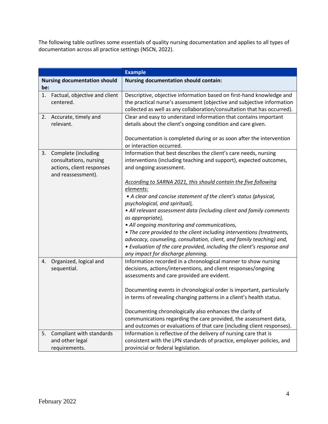The following table outlines some essentials of quality nursing documentation and applies to all types of documentation across all practice settings (NSCN, 2022).

<span id="page-4-0"></span>

|                                            |                                                                                                       | <b>Example</b>                                                                                                                                                                                                                                                                                                                                                                                                                                                                                                                                                                                                                                                                                                                                                       |
|--------------------------------------------|-------------------------------------------------------------------------------------------------------|----------------------------------------------------------------------------------------------------------------------------------------------------------------------------------------------------------------------------------------------------------------------------------------------------------------------------------------------------------------------------------------------------------------------------------------------------------------------------------------------------------------------------------------------------------------------------------------------------------------------------------------------------------------------------------------------------------------------------------------------------------------------|
| <b>Nursing documentation should</b><br>be: |                                                                                                       | <b>Nursing documentation should contain:</b>                                                                                                                                                                                                                                                                                                                                                                                                                                                                                                                                                                                                                                                                                                                         |
| 1.                                         | Factual, objective and client                                                                         | Descriptive, objective information based on first-hand knowledge and                                                                                                                                                                                                                                                                                                                                                                                                                                                                                                                                                                                                                                                                                                 |
|                                            | centered.                                                                                             | the practical nurse's assessment (objective and subjective information                                                                                                                                                                                                                                                                                                                                                                                                                                                                                                                                                                                                                                                                                               |
|                                            |                                                                                                       | collected as well as any collaboration/consultation that has occurred).                                                                                                                                                                                                                                                                                                                                                                                                                                                                                                                                                                                                                                                                                              |
|                                            | 2. Accurate, timely and<br>relevant.                                                                  | Clear and easy to understand information that contains important<br>details about the client's ongoing condition and care given.                                                                                                                                                                                                                                                                                                                                                                                                                                                                                                                                                                                                                                     |
|                                            |                                                                                                       |                                                                                                                                                                                                                                                                                                                                                                                                                                                                                                                                                                                                                                                                                                                                                                      |
|                                            |                                                                                                       | Documentation is completed during or as soon after the intervention                                                                                                                                                                                                                                                                                                                                                                                                                                                                                                                                                                                                                                                                                                  |
|                                            |                                                                                                       | or interaction occurred.                                                                                                                                                                                                                                                                                                                                                                                                                                                                                                                                                                                                                                                                                                                                             |
| 3.                                         | Complete (including                                                                                   | Information that best describes the client's care needs, nursing                                                                                                                                                                                                                                                                                                                                                                                                                                                                                                                                                                                                                                                                                                     |
|                                            | consultations, nursing                                                                                | interventions (including teaching and support), expected outcomes,                                                                                                                                                                                                                                                                                                                                                                                                                                                                                                                                                                                                                                                                                                   |
|                                            | actions, client responses                                                                             | and ongoing assessment.                                                                                                                                                                                                                                                                                                                                                                                                                                                                                                                                                                                                                                                                                                                                              |
|                                            | and reassessment).                                                                                    | According to SARNA 2021, this should contain the five following                                                                                                                                                                                                                                                                                                                                                                                                                                                                                                                                                                                                                                                                                                      |
|                                            |                                                                                                       | elements:                                                                                                                                                                                                                                                                                                                                                                                                                                                                                                                                                                                                                                                                                                                                                            |
|                                            |                                                                                                       | • A clear and concise statement of the client's status (physical,                                                                                                                                                                                                                                                                                                                                                                                                                                                                                                                                                                                                                                                                                                    |
|                                            |                                                                                                       | psychological, and spiritual),                                                                                                                                                                                                                                                                                                                                                                                                                                                                                                                                                                                                                                                                                                                                       |
|                                            |                                                                                                       | • All relevant assessment data (including client and family comments                                                                                                                                                                                                                                                                                                                                                                                                                                                                                                                                                                                                                                                                                                 |
|                                            |                                                                                                       | as appropriate),                                                                                                                                                                                                                                                                                                                                                                                                                                                                                                                                                                                                                                                                                                                                                     |
|                                            |                                                                                                       | • All ongoing monitoring and communications,                                                                                                                                                                                                                                                                                                                                                                                                                                                                                                                                                                                                                                                                                                                         |
|                                            |                                                                                                       | • The care provided to the client including interventions (treatments,                                                                                                                                                                                                                                                                                                                                                                                                                                                                                                                                                                                                                                                                                               |
|                                            |                                                                                                       | advocacy, counseling, consultation, client, and family teaching) and,                                                                                                                                                                                                                                                                                                                                                                                                                                                                                                                                                                                                                                                                                                |
|                                            |                                                                                                       |                                                                                                                                                                                                                                                                                                                                                                                                                                                                                                                                                                                                                                                                                                                                                                      |
|                                            |                                                                                                       |                                                                                                                                                                                                                                                                                                                                                                                                                                                                                                                                                                                                                                                                                                                                                                      |
|                                            |                                                                                                       |                                                                                                                                                                                                                                                                                                                                                                                                                                                                                                                                                                                                                                                                                                                                                                      |
|                                            |                                                                                                       |                                                                                                                                                                                                                                                                                                                                                                                                                                                                                                                                                                                                                                                                                                                                                                      |
|                                            |                                                                                                       |                                                                                                                                                                                                                                                                                                                                                                                                                                                                                                                                                                                                                                                                                                                                                                      |
|                                            |                                                                                                       |                                                                                                                                                                                                                                                                                                                                                                                                                                                                                                                                                                                                                                                                                                                                                                      |
|                                            |                                                                                                       | in terms of revealing changing patterns in a client's health status.                                                                                                                                                                                                                                                                                                                                                                                                                                                                                                                                                                                                                                                                                                 |
|                                            |                                                                                                       |                                                                                                                                                                                                                                                                                                                                                                                                                                                                                                                                                                                                                                                                                                                                                                      |
|                                            |                                                                                                       |                                                                                                                                                                                                                                                                                                                                                                                                                                                                                                                                                                                                                                                                                                                                                                      |
|                                            |                                                                                                       |                                                                                                                                                                                                                                                                                                                                                                                                                                                                                                                                                                                                                                                                                                                                                                      |
|                                            |                                                                                                       |                                                                                                                                                                                                                                                                                                                                                                                                                                                                                                                                                                                                                                                                                                                                                                      |
|                                            |                                                                                                       |                                                                                                                                                                                                                                                                                                                                                                                                                                                                                                                                                                                                                                                                                                                                                                      |
|                                            |                                                                                                       |                                                                                                                                                                                                                                                                                                                                                                                                                                                                                                                                                                                                                                                                                                                                                                      |
| 4.<br>5.                                   | Organized, logical and<br>sequential.<br>Compliant with standards<br>and other legal<br>requirements. | • Evaluation of the care provided, including the client's response and<br>any impact for discharge planning.<br>Information recorded in a chronological manner to show nursing<br>decisions, actions/interventions, and client responses/ongoing<br>assessments and care provided are evident.<br>Documenting events in chronological order is important, particularly<br>Documenting chronologically also enhances the clarity of<br>communications regarding the care provided, the assessment data,<br>and outcomes or evaluations of that care (including client responses).<br>Information is reflective of the delivery of nursing care that is<br>consistent with the LPN standards of practice, employer policies, and<br>provincial or federal legislation. |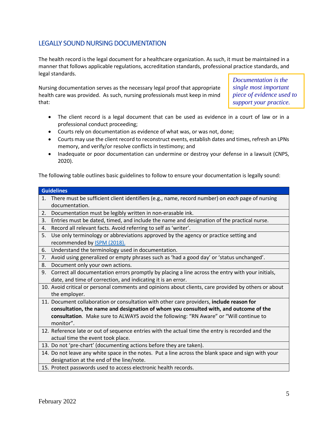#### LEGALLY SOUND NURSING DOCUMENTATION

The health record is the legal document for a healthcare organization. As such, it must be maintained in a manner that follows applicable regulations, accreditation standards, professional practice standards, and legal standards.

Nursing documentation serves as the necessary legal proof that appropriate health care was provided. As such, nursing professionals must keep in mind that:

*Documentation is the single most important piece of evidence used to support your practice.*

- The client record is a legal document that can be used as evidence in a court of law or in a professional conduct proceeding;
- Courts rely on documentation as evidence of what was, or was not, done;
- Courts may use the client record to reconstruct events, establish dates and times, refresh an LPNs memory, and verify/or resolve conflicts in testimony; and
- Inadequate or poor documentation can undermine or destroy your defense in a lawsuit (CNPS, 2020).

The following table outlines basic guidelines to follow to ensure your documentation is legally sound:

#### **Guidelines**

- 1. There must be sufficient client identifiers (e.g., name, record number) on *each* page of nursing documentation.
- 2. Documentation must be legibly written in non-erasable ink.
- 3. Entries must be dated, timed, and include the name and designation of the practical nurse.
- 4. Record all relevant facts. Avoid referring to self as 'writer'.
- 5. Use only terminology or abbreviations approved by the agency or practice setting and recommended by [ISPM \(2018\).](https://www.ismp-canada.org/download/ISMPCanadaListOfDangerousAbbreviations.pdf)
- 6. Understand the terminology used in documentation.
- 7. Avoid using generalized or empty phrases such as 'had a good day' or 'status unchanged'.
- 8. Document only your own actions.
- 9. Correct all documentation errors promptly by placing a line across the entry with your initials, date, and time of correction, and indicating it is an error.
- 10. Avoid critical or personal comments and opinions about clients, care provided by others or about the employer.
- 11. Document collaboration or consultation with other care providers, **include reason for consultation, the name and designation of whom you consulted with, and outcome of the consultation**. Make sure to ALWAYS avoid the following: "RN Aware" or "Will continue to monitor".
- 12. Reference late or out of sequence entries with the actual time the entry is recorded and the actual time the event took place.
- 13. Do not 'pre-chart' (documenting actions before they are taken).
- 14. Do not leave any white space in the notes. Put a line across the blank space and sign with your designation at the end of the line/note.
- 15. Protect passwords used to access electronic health records.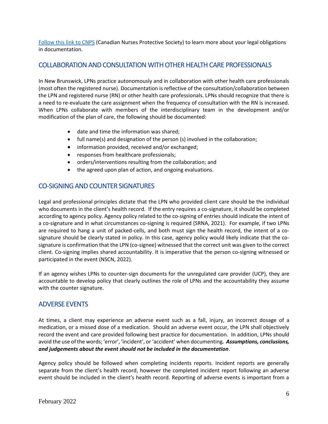[Follow this link to CNPS](https://cnps.ca/article/infolaw-qualitydocumentation/) (Canadian Nurses Protective Society) to learn more about your legal obligations in documentation.

#### <span id="page-6-0"></span>COLLABORATION AND CONSULTATION WITH OTHER HEALTH CARE PROFESSIONALS

In New Brunswick, LPNs practice autonomously and in collaboration with other health care professionals (most often the registered nurse). Documentation is reflective of the consultation/collaboration between the LPN and registered nurse (RN) or other health care professionals. LPNs should recognize that there is a need to re-evaluate the care assignment when the frequency of consultation with the RN is increased. When LPNs collaborate with members of the interdisciplinary team in the development and/or modification of the plan of care, the following should be documented:

- date and time the information was shared;
- full name(s) and designation of the person (s) involved in the collaboration;
- information provided, received and/or exchanged;
- responses from healthcare professionals;
- orders/interventions resulting from the collaboration; and
- the agreed upon plan of action, and ongoing evaluations.

#### <span id="page-6-1"></span>CO-SIGNING AND COUNTER SIGNATURES

Legal and professional principles dictate that the LPN who provided client care should be the individual who documents in the client's health record. If the entry requires a co-signature, it should be completed according to agency policy. Agency policy related to the co-signing of entries should indicate the intent of a co-signature and in what circumstances co-signing is required (SRNA, 2021). For example, if two LPNs are required to hang a unit of packed-cells, and both must sign the health record, the intent of a cosignature should be clearly stated in policy. In this case, agency policy would likely indicate that the cosignature is confirmation that the LPN (co-signee) witnessed that the correct unit was given to the correct client. Co-signing implies shared accountability. It is imperative that the person co-signing witnessed or participated in the event (NSCN, 2022).

If an agency wishes LPNs to counter-sign documents for the unregulated care provider (UCP), they are accountable to develop policy that clearly outlines the role of LPNs and the accountability they assume with the counter signature.

#### <span id="page-6-2"></span>ADVERSE EVENTS

At times, a client may experience an adverse event such as a fall, injury, an incorrect dosage of a medication, or a missed dose of a medication. Should an adverse event occur, the LPN shall objectively record the event and care provided following best practice for documentation. In addition, LPNs should avoid the use of the words; 'error', 'incident', or 'accident' when documenting*. Assumptions, conclusions, and judgements about the event should not be included in the documentation*.

Agency policy should be followed when completing incidents reports. Incident reports are generally separate from the client's health record, however the completed incident report following an adverse event should be included in the client's health record. Reporting of adverse events is important from a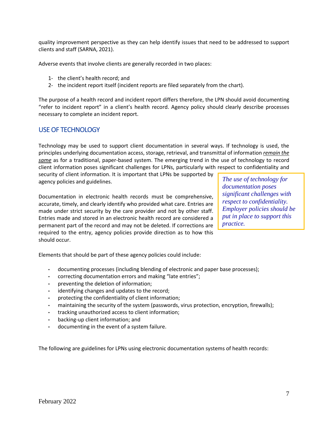quality improvement perspective as they can help identify issues that need to be addressed to support clients and staff (SARNA, 2021).

Adverse events that involve clients are generally recorded in two places:

- 1- the client's health record; and
- 2- the incident report itself (incident reports are filed separately from the chart).

The purpose of a health record and incident report differs therefore, the LPN should avoid documenting "refer to incident report" in a client's health record. Agency policy should clearly describe processes necessary to complete an incident report.

#### <span id="page-7-0"></span>USE OF TECHNOLOGY

Technology may be used to support client documentation in several ways. If technology is used, the principles underlying documentation access, storage, retrieval, and transmittal of information *remain the same* as for a traditional, paper-based system. The emerging trend in the use of technology to record client information poses significant challenges for LPNs, particularly with respect to confidentiality and

security of client information. It is important that LPNs be supported by agency policies and guidelines.

Documentation in electronic health records must be comprehensive, accurate, timely, and clearly identify who provided what care. Entries are made under strict security by the care provider and not by other staff. Entries made and stored in an electronic health record are considered a permanent part of the record and may not be deleted. If corrections are required to the entry, agency policies provide direction as to how this should occur.

*The use of technology for documentation poses significant challenges with respect to confidentiality. Employer policies should be put in place to support this practice.*

Elements that should be part of these agency policies could include:

- documenting processes (including blending of electronic and paper base processes);
- correcting documentation errors and making "late entries";
- preventing the deletion of information;
- identifying changes and updates to the record;
- protecting the confidentiality of client information;
- maintaining the security of the system (passwords, virus protection, encryption, firewalls);
- tracking unauthorized access to client information;
- backing-up client information; and
- documenting in the event of a system failure.

The following are guidelines for LPNs using electronic documentation systems of health records: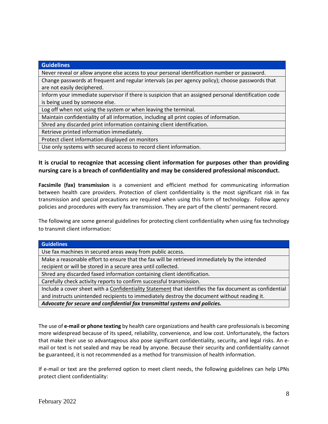| <b>Guidelines</b>                                                                                                                      |
|----------------------------------------------------------------------------------------------------------------------------------------|
| Never reveal or allow anyone else access to your personal identification number or password.                                           |
| Change passwords at frequent and regular intervals (as per agency policy); choose passwords that<br>are not easily deciphered.         |
| Inform your immediate supervisor if there is suspicion that an assigned personal identification code<br>is being used by someone else. |
| Log off when not using the system or when leaving the terminal.                                                                        |
| Maintain confidentiality of all information, including all print copies of information.                                                |
| Shred any discarded print information containing client identification.                                                                |
| Retrieve printed information immediately.                                                                                              |
| Protect client information displayed on monitors                                                                                       |
| Use only systems with secured access to record client information.                                                                     |

#### **It is crucial to recognize that accessing client information for purposes other than providing nursing care is a breach of confidentiality and may be considered professional misconduct.**

**Facsimile (fax) transmission** is a convenient and efficient method for communicating information between health care providers. Protection of client confidentiality is the most significant risk in fax transmission and special precautions are required when using this form of technology. Follow agency policies and procedures with every fax transmission. They are part of the clients' permanent record.

The following are some general guidelines for protecting client confidentiality when using fax technology to transmit client information:

| <b>Guidelines</b>                                                                                       |
|---------------------------------------------------------------------------------------------------------|
| Use fax machines in secured areas away from public access.                                              |
| Make a reasonable effort to ensure that the fax will be retrieved immediately by the intended           |
| recipient or will be stored in a secure area until collected.                                           |
| Shred any discarded faxed information containing client identification.                                 |
| Carefully check activity reports to confirm successful transmission.                                    |
| Include a cover sheet with a Confidentiality Statement that identifies the fax document as confidential |
| and instructs unintended recipients to immediately destroy the document without reading it.             |

*Advocate for secure and confidential fax transmittal systems and policies.* 

The use of **e-mail or phone texting** by health care organizations and health care professionals is becoming more widespread because of its speed, reliability, convenience, and low cost. Unfortunately, the factors that make their use so advantageous also pose significant confidentiality, security, and legal risks. An email or text is not sealed and may be read by anyone. Because their security and confidentiality cannot be guaranteed, it is not recommended as a method for transmission of health information.

If e-mail or text are the preferred option to meet client needs, the following guidelines can help LPNs protect client confidentiality: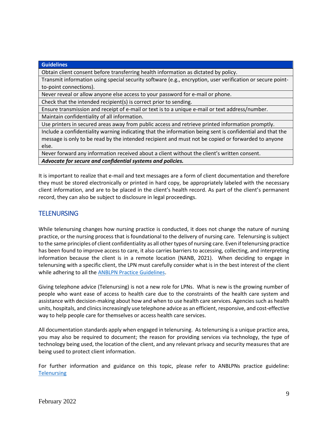#### **Guidelines** Obtain client consent before transferring health information as dictated by policy. Transmit information using special security software (e.g., encryption, user verification or secure pointto-point connections). Never reveal or allow anyone else access to your password for e-mail or phone. Check that the intended recipient(s) is correct prior to sending. Ensure transmission and receipt of e-mail or text is to a unique e-mail or text address/number. Maintain confidentiality of all information. Use printers in secured areas away from public access and retrieve printed information promptly. Include a confidentiality warning indicating that the information being sent is confidential and that the message is only to be read by the intended recipient and must not be copied or forwarded to anyone else. Never forward any information received about a client without the client's written consent. *Advocate for secure and confidential systems and policies.*

It is important to realize that e-mail and text messages are a form of client documentation and therefore they must be stored electronically or printed in hard copy, be appropriately labeled with the necessary client information, and are to be placed in the client's health record. As part of the client's permanent record, they can also be subject to disclosure in legal proceedings.

#### <span id="page-9-0"></span>**TELENURSING**

While telenursing changes how nursing practice is conducted, it does not change the nature of nursing practice, or the nursing process that is foundational to the delivery of nursing care. Telenursing is subject to the same principles of client confidentiality as all other types of nursing care. Even if telenursing practice has been found to improve access to care, it also carries barriers to accessing, collecting, and interpreting information because the client is in a remote location (NANB, 2021). When deciding to engage in telenursing with a specific client, the LPN must carefully consider what is in the best interest of the client while adhering to all the [ANBLPN Practice Guidelines.](https://www.anblpn.ca/practice-resources/)

Giving telephone advice (Telenursing) is not a new role for LPNs. What is new is the growing number of people who want ease of access to health care due to the constraints of the health care system and assistance with decision-making about how and when to use health care services. Agencies such as health units, hospitals, and clinics increasingly use telephone advice as an efficient, responsive, and cost-effective way to help people care for themselves or access health care services.

All documentation standards apply when engaged in telenursing. As telenursing is a unique practice area, you may also be required to document; the reason for providing services via technology, the type of technology being used, the location of the client, and any relevant privacy and security measures that are being used to protect client information.

For further information and guidance on this topic, please refer to ANBLPNs practice guideline: **[Telenursing](https://www.anblpn.ca/wp-content/uploads/2022/01/Telenursing.pdf)**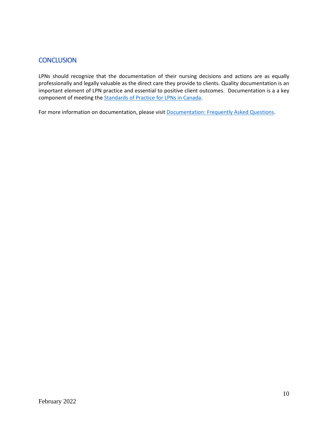#### <span id="page-10-0"></span>**CONCLUSION**

LPNs should recognize that the documentation of their nursing decisions and actions are as equally professionally and legally valuable as the direct care they provide to clients. Quality documentation is an important element of LPN practice and essential to positive client outcomes. Documentation is a a key component of meeting th[e Standards of Practice](https://www.anblpn.ca/wp-content/uploads/2021/04/CCPNR-2020-Standard_ENG.pdf) for LPNs in Canada.

For more information on documentation, please visit [Documentation: Frequently Asked Questions.](https://www.anblpn.ca/wp-content/uploads/2022/02/Documentation_FAQ.pdf)